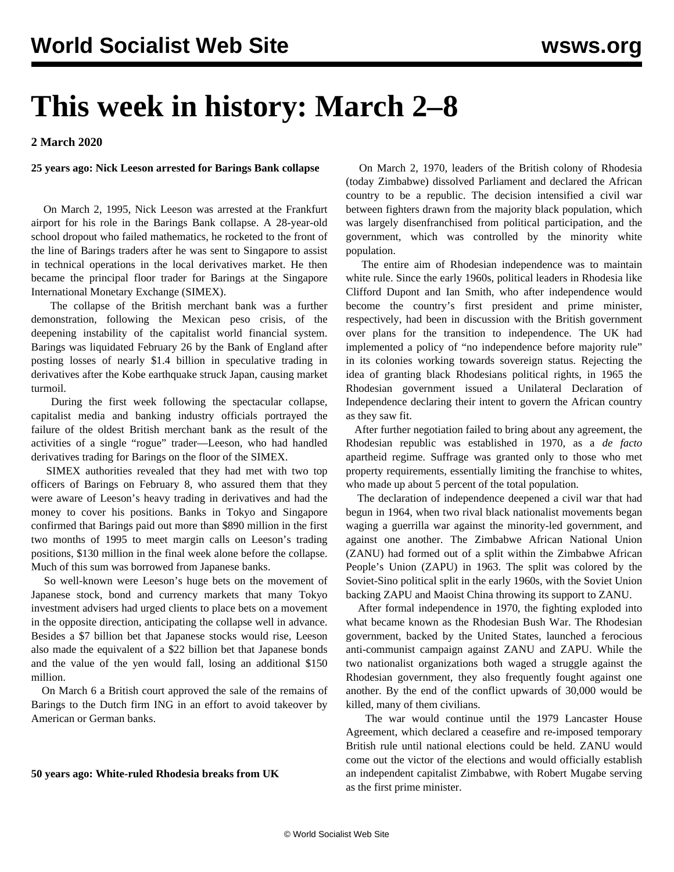# **This week in history: March 2–8**

**2 March 2020**

## **25 years ago: Nick Leeson arrested for Barings Bank collapse**

 On March 2, 1995, Nick Leeson was arrested at the Frankfurt airport for his role in the Barings Bank collapse. A 28-year-old school dropout who failed mathematics, he rocketed to the front of the line of Barings traders after he was sent to Singapore to assist in technical operations in the local derivatives market. He then became the principal floor trader for Barings at the Singapore International Monetary Exchange (SIMEX).

 The collapse of the British merchant bank was a further demonstration, following the Mexican peso crisis, of the deepening instability of the capitalist world financial system. Barings was liquidated February 26 by the Bank of England after posting losses of nearly \$1.4 billion in speculative trading in derivatives after the Kobe earthquake struck Japan, causing market turmoil.

 During the first week following the spectacular collapse, capitalist media and banking industry officials portrayed the failure of the oldest British merchant bank as the result of the activities of a single "rogue" trader—Leeson, who had handled derivatives trading for Barings on the floor of the SIMEX.

 SIMEX authorities revealed that they had met with two top officers of Barings on February 8, who assured them that they were aware of Leeson's heavy trading in derivatives and had the money to cover his positions. Banks in Tokyo and Singapore confirmed that Barings paid out more than \$890 million in the first two months of 1995 to meet margin calls on Leeson's trading positions, \$130 million in the final week alone before the collapse. Much of this sum was borrowed from Japanese banks.

 So well-known were Leeson's huge bets on the movement of Japanese stock, bond and currency markets that many Tokyo investment advisers had urged clients to place bets on a movement in the opposite direction, anticipating the collapse well in advance. Besides a \$7 billion bet that Japanese stocks would rise, Leeson also made the equivalent of a \$22 billion bet that Japanese bonds and the value of the yen would fall, losing an additional \$150 million.

 On March 6 a British court approved the sale of the remains of Barings to the Dutch firm ING in an effort to avoid takeover by American or German banks.

#### **50 years ago: White-ruled Rhodesia breaks from UK**

 On March 2, 1970, leaders of the British colony of Rhodesia (today Zimbabwe) dissolved Parliament and declared the African country to be a republic. The decision intensified a civil war between fighters drawn from the majority black population, which was largely disenfranchised from political participation, and the government, which was controlled by the minority white population.

 The entire aim of Rhodesian independence was to maintain white rule. Since the early 1960s, political leaders in Rhodesia like Clifford Dupont and Ian Smith, who after independence would become the country's first president and prime minister, respectively, had been in discussion with the British government over plans for the transition to independence. The UK had implemented a policy of "no independence before majority rule" in its colonies working towards sovereign status. Rejecting the idea of granting black Rhodesians political rights, in 1965 the Rhodesian government issued a Unilateral Declaration of Independence declaring their intent to govern the African country as they saw fit.

 After further negotiation failed to bring about any agreement, the Rhodesian republic was established in 1970, as a *de facto* apartheid regime. Suffrage was granted only to those who met property requirements, essentially limiting the franchise to whites, who made up about 5 percent of the total population.

 The declaration of independence deepened a civil war that had begun in 1964, when two rival black nationalist movements began waging a guerrilla war against the minority-led government, and against one another. The Zimbabwe African National Union (ZANU) had formed out of a split within the Zimbabwe African People's Union (ZAPU) in 1963. The split was colored by the Soviet-Sino political split in the early 1960s, with the Soviet Union backing ZAPU and Maoist China throwing its support to ZANU.

 After formal independence in 1970, the fighting exploded into what became known as the Rhodesian Bush War. The Rhodesian government, backed by the United States, launched a ferocious anti-communist campaign against ZANU and ZAPU. While the two nationalist organizations both waged a struggle against the Rhodesian government, they also frequently fought against one another. By the end of the conflict upwards of 30,000 would be killed, many of them civilians.

 The war would continue until the 1979 Lancaster House Agreement, which declared a ceasefire and re-imposed temporary British rule until national elections could be held. ZANU would come out the victor of the elections and would officially establish an independent capitalist Zimbabwe, with Robert Mugabe serving as the first prime minister.